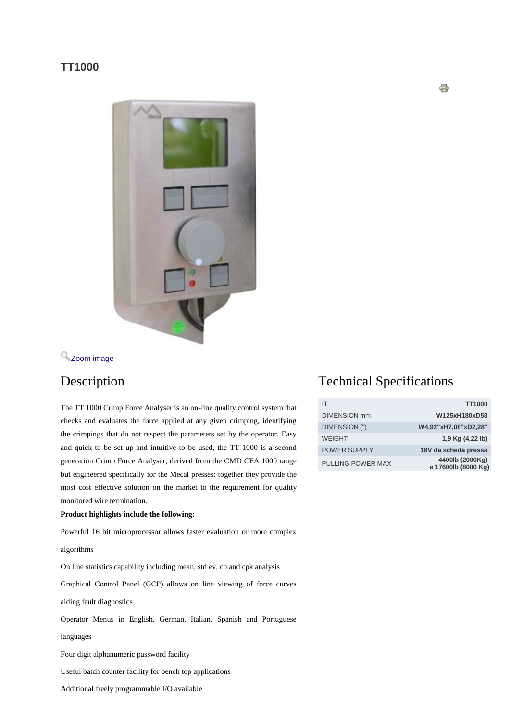### **TT1000**



# [Z](http://www.mecal.net/components/com_jshopping/files/img_products/full_TT10001.jpg)oom [image](http://www.mecal.net/components/com_jshopping/files/img_products/full_TT10001.jpg)

The TT 1000 Crimp Force Analyser is an on-line quality control system that checks and evaluates the force applied at any given crimping, identifying the crimpings that do not respect the parameters set by the operator. Easy and quick to be set up and intuitive to be used, the TT 1000 is a second generation Crimp Force Analyser, derived from the CMD CFA 1000 range but engineered specifically for the Mecal presses: together they provide the most cost effective solution on the market to the requirement for quality monitored wire termination.

### **Product highlights include the following:**

Powerful 16 bit microprocessor allows faster evaluation or more complex

algorithms

On line statistics capability including mean, std ev, cp and cpk analysis

Graphical Control Panel (GCP) allows on line viewing of force curves

aiding fault diagnostics

Operator Menus in English, German, Italian, Spanish and Portuguese

languages

Four digit alphanumeric password facility

Useful batch counter facility for bench top applications

Additional freely programmable I/O available

## Description Technical Specifications

| IΤ                       | <b>TT1000</b>                          |
|--------------------------|----------------------------------------|
| <b>DIMENSION</b> mm      | W125xH180xD58                          |
| DIMENSION (")            | W4,92"xH7,08"xD2,28"                   |
| <b>WEIGHT</b>            | 1,9 Kg (4,22 lb)                       |
| <b>POWER SUPPLY</b>      | 18V da scheda pressa                   |
| <b>PULLING POWER MAX</b> | 4400lb (2000Kg)<br>e 17600lb (8000 Kg) |